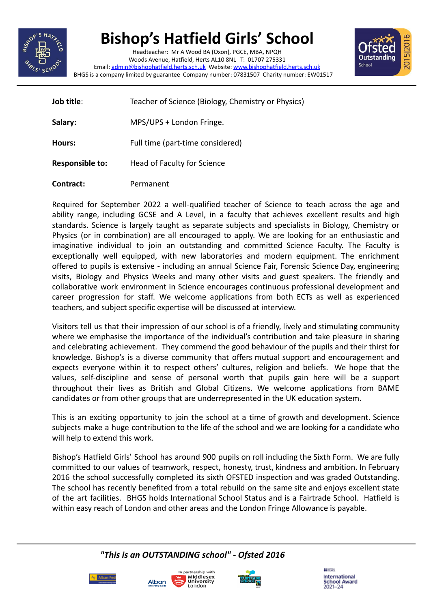

## **Bishop's Hatfield Girls' School**

Headteacher: Mr A Wood BA (Oxon), PGCE, MBA, NPQH Woods Avenue, Hatfield, Herts AL10 8NL T: 01707 275331 Email: [admin@bishophatfield.herts.sch.uk](mailto:admin@bishophatfield.herts.sch.uk) Website: [www.bishophatfield.herts.sch.uk](http://www.bishophatfield.herts.sch.uk) BHGS is a company limited by guarantee Company number: 07831507 Charity number: EW01517



**Job title:** Teacher of Science (Biology, Chemistry or Physics) Salary: MPS/UPS + London Fringe. **Hours:** Full time (part-time considered) **Responsible to:** Head of Faculty for Science **Contract:** Permanent

Required for September 2022 a well-qualified teacher of Science to teach across the age and ability range, including GCSE and A Level, in a faculty that achieves excellent results and high standards. Science is largely taught as separate subjects and specialists in Biology, Chemistry or Physics (or in combination) are all encouraged to apply. We are looking for an enthusiastic and imaginative individual to join an outstanding and committed Science Faculty. The Faculty is exceptionally well equipped, with new laboratories and modern equipment. The enrichment offered to pupils is extensive - including an annual Science Fair, Forensic Science Day, engineering visits, Biology and Physics Weeks and many other visits and guest speakers. The friendly and collaborative work environment in Science encourages continuous professional development and career progression for staff. We welcome applications from both ECTs as well as experienced teachers, and subject specific expertise will be discussed at interview.

Visitors tell us that their impression of our school is of a friendly, lively and stimulating community where we emphasise the importance of the individual's contribution and take pleasure in sharing and celebrating achievement. They commend the good behaviour of the pupils and their thirst for knowledge. Bishop's is a diverse community that offers mutual support and encouragement and expects everyone within it to respect others' cultures, religion and beliefs. We hope that the values, self-discipline and sense of personal worth that pupils gain here will be a support throughout their lives as British and Global Citizens. We welcome applications from BAME candidates or from other groups that are underrepresented in the UK education system.

This is an exciting opportunity to join the school at a time of growth and development. Science subjects make a huge contribution to the life of the school and we are looking for a candidate who will help to extend this work.

Bishop's Hatfield Girls' School has around 900 pupils on roll including the Sixth Form. We are fully committed to our values of teamwork, respect, honesty, trust, kindness and ambition. In February 2016 the school successfully completed its sixth OFSTED inspection and was graded Outstanding. The school has recently benefited from a total rebuild on the same site and enjoys excellent state of the art facilities. BHGS holds International School Status and is a Fairtrade School. Hatfield is within easy reach of London and other areas and the London Fringe Allowance is payable.

*"This is an OUTSTANDING school" - Ofsted 2016*







 $11 - 10$ International **School Award** 2021-24